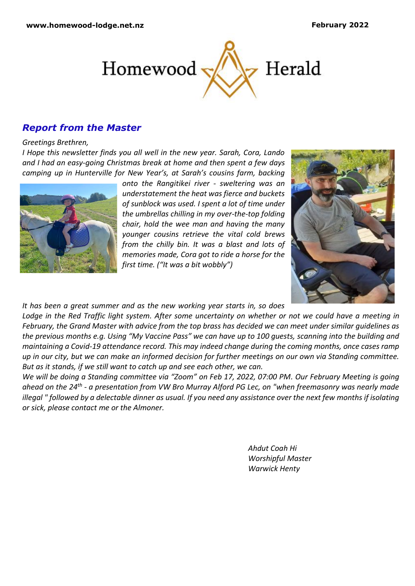

## *Report from the Master*

#### *Greetings Brethren,*

*I Hope this newsletter finds you all well in the new year. Sarah, Cora, Lando and I had an easy-going Christmas break at home and then spent a few days camping up in Hunterville for New Year's, at Sarah's cousins farm, backing* 



*onto the Rangitikei river - sweltering was an understatement the heat was fierce and buckets of sunblock was used. I spent a lot of time under the umbrellas chilling in my over-the-top folding chair, hold the wee man and having the many younger cousins retrieve the vital cold brews from the chilly bin. It was a blast and lots of memories made, Cora got to ride a horse for the first time. ("It was a bit wobbly")*



*It has been a great summer and as the new working year starts in, so does* 

*Lodge in the Red Traffic light system. After some uncertainty on whether or not we could have a meeting in February, the Grand Master with advice from the top brass has decided we can meet under similar guidelines as the previous months e.g. Using "My Vaccine Pass" we can have up to 100 guests, scanning into the building and maintaining a Covid-19 attendance record. This may indeed change during the coming months, once cases ramp up in our city, but we can make an informed decision for further meetings on our own via Standing committee. But as it stands, if we still want to catch up and see each other, we can.*

*We will be doing a Standing committee via "Zoom" on Feb 17, 2022, 07:00 PM. Our February Meeting is going ahead on the 24th - a presentation from VW Bro Murray Alford PG Lec, on "when freemasonry was nearly made illegal " followed by a delectable dinner as usual. If you need any assistance over the next few months if isolating or sick, please contact me or the Almoner.*

> *Ahdut Coah Hi Worshipful Master Warwick Henty*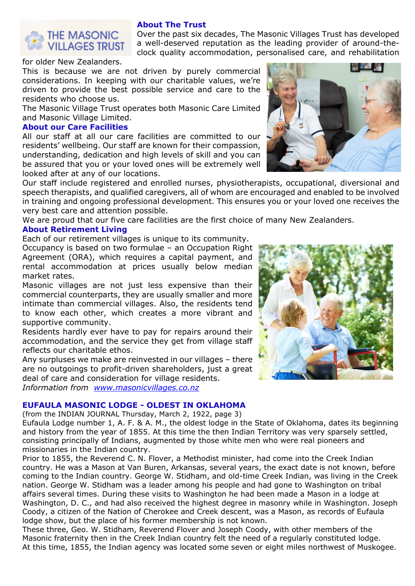

### **About The Trust**

Over the past six decades, The Masonic Villages Trust has developed a well-deserved reputation as the leading provider of around-theclock quality accommodation, personalised care, and rehabilitation

for older New Zealanders.

This is because we are not driven by purely commercial considerations. In keeping with our charitable values, we're driven to provide the best possible service and care to the residents who choose us.

The Masonic Village Trust operates both Masonic Care Limited and Masonic Village Limited.

#### **About our Care Facilities**

All our staff at all our care facilities are committed to our residents' wellbeing. Our staff are known for their compassion, understanding, dedication and high levels of skill and you can be assured that you or your loved ones will be extremely well looked after at any of our locations.

Our staff include registered and enrolled nurses, physiotherapists, occupational, diversional and speech therapists, and qualified caregivers, all of whom are encouraged and enabled to be involved in training and ongoing professional development. This ensures you or your loved one receives the very best care and attention possible.

We are proud that our five care facilities are the first choice of many New Zealanders.

### **About Retirement Living**

Each of our retirement villages is unique to its community.

Occupancy is based on two formulae – an Occupation Right Agreement (ORA), which requires a capital payment, and rental accommodation at prices usually below median market rates.

Masonic villages are not just less expensive than their commercial counterparts, they are usually smaller and more intimate than commercial villages. Also, the residents tend to know each other, which creates a more vibrant and supportive community.

Residents hardly ever have to pay for repairs around their accommodation, and the service they get from village staff reflects our charitable ethos.

Any surpluses we make are reinvested in our villages – there are no outgoings to profit-driven shareholders, just a great deal of care and consideration for village residents. *Information from [www.masonicvillages.co.nz](http://www.masonicvillages.co.nz/)*

**EUFAULA MASONIC LODGE - OLDEST IN OKLAHOMA**

(from the INDIAN JOURNAL Thursday, March 2, 1922, page 3)

Eufaula Lodge number 1, A. F. & A. M., the oldest lodge in the State of Oklahoma, dates its beginning and history from the year of 1855. At this time the then Indian Territory was very sparsely settled, consisting principally of Indians, augmented by those white men who were real pioneers and missionaries in the Indian country.

Prior to 1855, the Reverend C. N. Flover, a Methodist minister, had come into the Creek Indian country. He was a Mason at Van Buren, Arkansas, several years, the exact date is not known, before coming to the Indian country. George W. Stidham, and old-time Creek Indian, was living in the Creek nation. George W. Stidham was a leader among his people and had gone to Washington on tribal affairs several times. During these visits to Washington he had been made a Mason in a lodge at Washington, D. C., and had also received the highest degree in masonry while in Washington. Joseph Coody, a citizen of the Nation of Cherokee and Creek descent, was a Mason, as records of Eufaula lodge show, but the place of his former membership is not known.

These three, Geo. W. Stidham, Reverend Flover and Joseph Coody, with other members of the Masonic fraternity then in the Creek Indian country felt the need of a regularly constituted lodge. At this time, 1855, the Indian agency was located some seven or eight miles northwest of Muskogee.



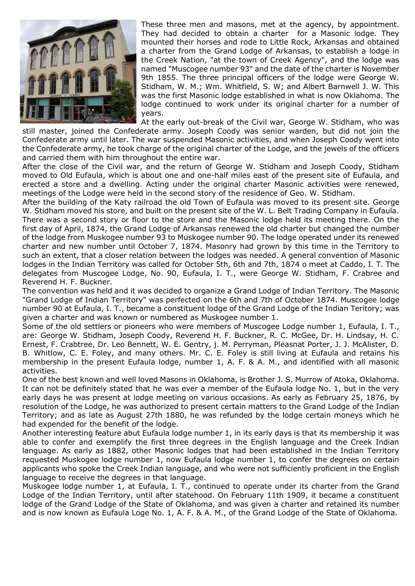

These three men and masons, met at the agency, by appointment. They had decided to obtain a charter for a Masonic lodge. They mounted their horses and rode to Little Rock, Arkansas and obtained a charter from the Grand Lodge of Arkansas, to establish a lodge in the Creek Nation, "at the town of Creek Agency", and the lodge was named "Muscogee number 93" and the date of the charter is November 9th 1855. The three principal officers of the lodge were George W. Stidham, W. M.; Wm. Whitfield, S. W; and Albert Barnwell J. W. This was the first Masonic lodge established in what is now Oklahoma. The lodge continued to work under its original charter for a number of years.

At the early out-break of the Civil war, George W. Stidham, who was still master, joined the Confederate army. Joseph Coody was senior warden, but did not join the Confederate army until later. The war suspended Masonic activities, and when Joseph Coody went into the Confederate army, he took charge of the original charter of the Lodge, and the jewels of the officers and carried them with him throughout the entire war.

After the close of the Civil war, and the return of George W. Stidham and Joseph Coody, Stidham moved to Old Eufaula, which is about one and one-half miles east of the present site of Eufaula, and erected a store and a dwelling. Acting under the original charter Masonic activities were renewed, meetings of the Lodge were held in the second story of the residence of Geo. W. Stidham.

After the building of the Katy railroad the old Town of Eufaula was moved to its present site. George W. Stidham moved his store, and built on the present site of the W. L. Belt Trading Company in Eufaula. There was a second story or floor to the store and the Masonic lodge held its meeting there. On the first day of April, 1874, the Grand Lodge of Arkansas renewed the old charter but changed the number of the lodge from Muskogee number 93 to Muskogee number 90. The lodge operated under its renewed charter and new number until October 7, 1874. Masonry had grown by this time in the Territory to such an extent, that a closer relation between the lodges was needed. A general convention of Masonic lodges in the Indian Territory was called for October 5th, 6th and 7th, 1874 o meet at Caddo, I. T. The delegates from Muscogee Lodge, No. 90, Eufaula, I. T., were George W. Stidham, F. Crabree and Reverend H. F. Buckner.

The convention was held and it was decided to organize a Grand Lodge of Indian Territory. The Masonic "Grand Lodge of Indian Territory" was perfected on the 6th and 7th of October 1874. Muscogee lodge number 90 at Eufaula, I. T., became a constituent lodge of the Grand Lodge of the Indian Teritory; was given a charter and was known or numbered as Muskogee number 1.

Some of the old settlers or pioneers who were members of Muscogee Lodge number 1, Eufaula, I. T., are: George W. Stidham, Joseph Coody, Reverend H. F. Buckner, R. C. McGee, Dr. H. Lindsay, H. C. Ernest, F. Crabtree, Dr. Leo Bennett, W. E. Gentry, j. M. Perryman, Pleasnat Porter, J. J. McAlister, D. B. Whitlow, C. E. Foley, and many others. Mr. C. E. Foley is still living at Eufaula and retains his membership in the present Eufaula lodge, number 1, A. F. & A. M., and identified with all masonic activities.

One of the best known and well loved Masons in Oklahoma, is Brother J. S. Murrow of Atoka, Oklahoma. It can not be definitely stated that he was ever a member of the Eufaula lodge No. 1, but in the very early days he was present at lodge meeting on various occasions. As early as February 25, 1876, by resolution of the Lodge, he was authorized to present certain matters to the Grand Lodge of the Indian Territory; and as late as August 27th 1880, he was refunded by the lodge certain moneys which he had expended for the benefit of the lodge.

Another interesting feature abut Eufaula lodge number 1, in its early days is that its membership it was able to confer and exemplify the first three degrees in the English language and the Creek Indian language. As early as 1882, other Masonic lodges that had been established in the Indian Territory requested Muskogee lodge number 1, now Eufaula lodge number 1, to confer the degrees on certain applicants who spoke the Creek Indian language, and who were not sufficiently proficient in the English language to receive the degrees in that language.

Muskogee lodge number 1, at Eufaula, I. T., continued to operate under its charter from the Grand Lodge of the Indian Territory, until after statehood. On February 11th 1909, it became a constituent lodge of the Grand Lodge of the State of Oklahoma, and was given a charter and retained its number and is now known as Eufaula Loge No. 1, A. F. & A. M., of the Grand Lodge of the State of Oklahoma.